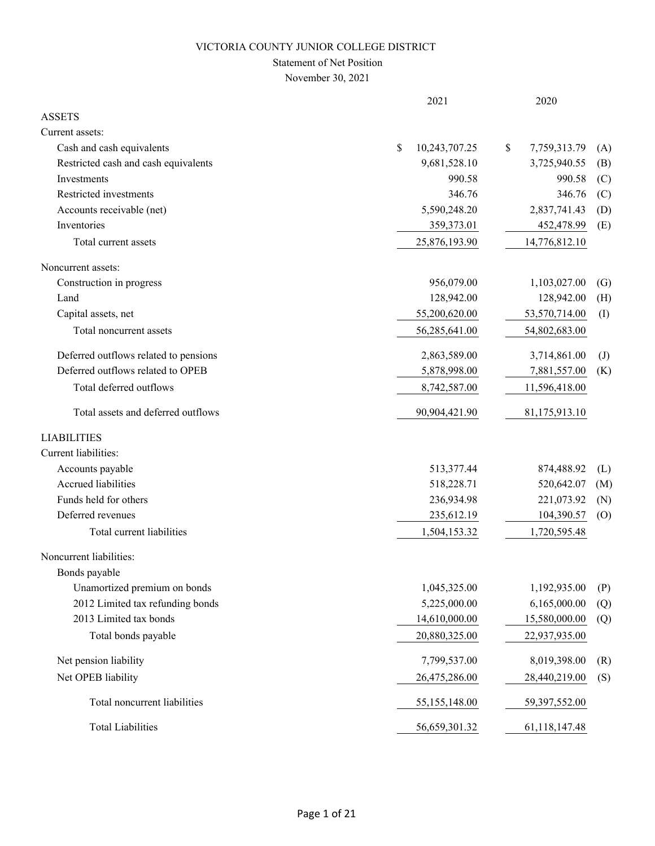### Statement of Net Position

November 30, 2021

|                                       | 2021                | 2020                              |  |
|---------------------------------------|---------------------|-----------------------------------|--|
| <b>ASSETS</b>                         |                     |                                   |  |
| Current assets:                       |                     |                                   |  |
| Cash and cash equivalents             | \$<br>10,243,707.25 | \$<br>7,759,313.79<br>(A)         |  |
| Restricted cash and cash equivalents  | 9,681,528.10        | 3,725,940.55<br>(B)               |  |
| Investments                           | 990.58              | 990.58<br>(C)                     |  |
| Restricted investments                | 346.76              | 346.76<br>(C)                     |  |
| Accounts receivable (net)             | 5,590,248.20        | 2,837,741.43<br>(D)               |  |
| Inventories                           | 359,373.01          | 452,478.99<br>(E)                 |  |
| Total current assets                  | 25,876,193.90       | 14,776,812.10                     |  |
| Noncurrent assets:                    |                     |                                   |  |
| Construction in progress              | 956,079.00          | 1,103,027.00<br>$\left( G\right)$ |  |
| Land                                  | 128,942.00          | 128,942.00<br>(H)                 |  |
| Capital assets, net                   | 55,200,620.00       | 53,570,714.00<br>(I)              |  |
| Total noncurrent assets               | 56,285,641.00       | 54,802,683.00                     |  |
| Deferred outflows related to pensions | 2,863,589.00        | 3,714,861.00<br>$\left( J\right)$ |  |
| Deferred outflows related to OPEB     | 5,878,998.00        | 7,881,557.00<br>(K)               |  |
| Total deferred outflows               | 8,742,587.00        | 11,596,418.00                     |  |
| Total assets and deferred outflows    | 90,904,421.90       | 81,175,913.10                     |  |
| <b>LIABILITIES</b>                    |                     |                                   |  |
| Current liabilities:                  |                     |                                   |  |
| Accounts payable                      | 513,377.44          | 874,488.92<br>(L)                 |  |
| Accrued liabilities                   | 518,228.71          | 520,642.07<br>(M)                 |  |
| Funds held for others                 | 236,934.98          | 221,073.92<br>(N)                 |  |
| Deferred revenues                     | 235,612.19          | 104,390.57<br>(0)                 |  |
| Total current liabilities             | 1,504,153.32        | 1,720,595.48                      |  |
| Noncurrent liabilities:               |                     |                                   |  |
| Bonds payable                         |                     |                                   |  |
| Unamortized premium on bonds          | 1,045,325.00        | 1,192,935.00<br>(P)               |  |
| 2012 Limited tax refunding bonds      | 5,225,000.00        | 6,165,000.00<br>(Q)               |  |
| 2013 Limited tax bonds                | 14,610,000.00       | 15,580,000.00<br>(Q)              |  |
| Total bonds payable                   | 20,880,325.00       | 22,937,935.00                     |  |
| Net pension liability                 | 7,799,537.00        | 8,019,398.00<br>(R)               |  |
| Net OPEB liability                    | 26,475,286.00       | 28,440,219.00<br>(S)              |  |
| Total noncurrent liabilities          | 55,155,148.00       | 59,397,552.00                     |  |
| <b>Total Liabilities</b>              | 56,659,301.32       | 61,118,147.48                     |  |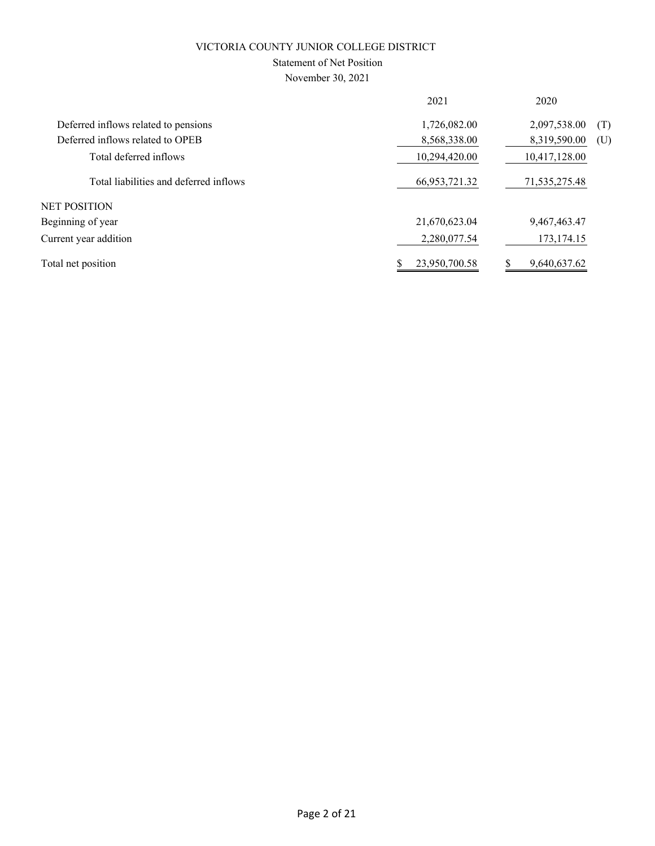# Statement of Net Position

November 30, 2021

|                                        | 2021             | 2020                |
|----------------------------------------|------------------|---------------------|
| Deferred inflows related to pensions   | 1,726,082.00     | 2,097,538.00<br>(T) |
| Deferred inflows related to OPEB       | 8,568,338.00     | 8,319,590.00<br>(U) |
| Total deferred inflows                 | 10,294,420.00    | 10,417,128.00       |
| Total liabilities and deferred inflows | 66, 953, 721. 32 | 71,535,275.48       |
| NET POSITION                           |                  |                     |
| Beginning of year                      | 21,670,623.04    | 9,467,463.47        |
| Current year addition                  | 2,280,077.54     | 173, 174. 15        |
| Total net position                     | 23,950,700.58    | 9,640,637.62        |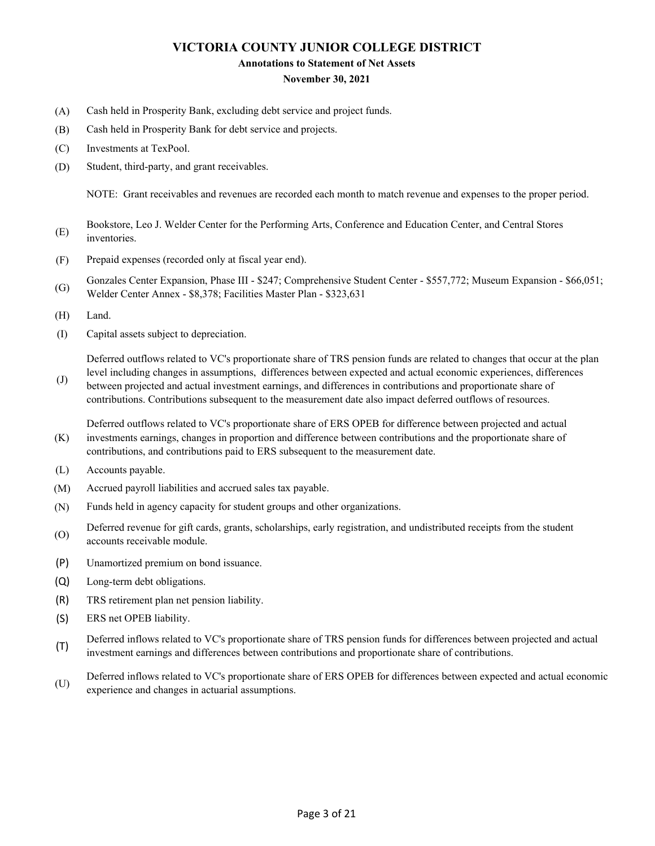#### **Annotations to Statement of Net Assets**

### **November 30, 2021**

- (A) Cash held in Prosperity Bank, excluding debt service and project funds.
- (B) Cash held in Prosperity Bank for debt service and projects.
- (C) Investments at TexPool.
- (D) Student, third-party, and grant receivables.

NOTE: Grant receivables and revenues are recorded each month to match revenue and expenses to the proper period.

- (E) Bookstore, Leo J. Welder Center for the Performing Arts, Conference and Education Center, and Central Stores inventories.
- (F) Prepaid expenses (recorded only at fiscal year end).
- (G) Gonzales Center Expansion, Phase III - \$247; Comprehensive Student Center - \$557,772; Museum Expansion - \$66,051; Welder Center Annex - \$8,378; Facilities Master Plan - \$323,631
- (H) Land.
- (I) Capital assets subject to depreciation.

Deferred outflows related to VC's proportionate share of TRS pension funds are related to changes that occur at the plan

(J) level including changes in assumptions, differences between expected and actual economic experiences, differences between projected and actual investment earnings, and differences in contributions and proportionate share of contributions. Contributions subsequent to the measurement date also impact deferred outflows of resources.

(K) Deferred outflows related to VC's proportionate share of ERS OPEB for difference between projected and actual investments earnings, changes in proportion and difference between contributions and the proportionate share of contributions, and contributions paid to ERS subsequent to the measurement date.

- (L) Accounts payable.
- (M) Accrued payroll liabilities and accrued sales tax payable.
- (N) Funds held in agency capacity for student groups and other organizations.
- (O) Deferred revenue for gift cards, grants, scholarships, early registration, and undistributed receipts from the student accounts receivable module.
- (P) Unamortized premium on bond issuance.
- (Q) Long-term debt obligations.
- (R) TRS retirement plan net pension liability.
- (S) ERS net OPEB liability.
- (T) Deferred inflows related to VC's proportionate share of TRS pension funds for differences between projected and actual investment earnings and differences between contributions and proportionate share of contributions.
- (U) Deferred inflows related to VC's proportionate share of ERS OPEB for differences between expected and actual economic experience and changes in actuarial assumptions.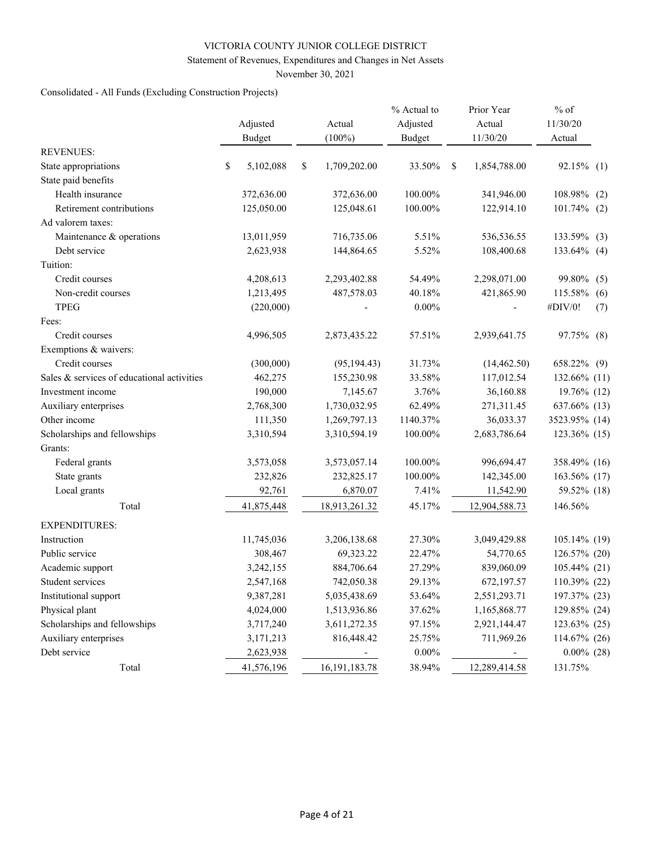### Statement of Revenues, Expenditures and Changes in Net Assets

November 30, 2021

# Consolidated - All Funds (Excluding Construction Projects)

|                                            | Adjusted        | Actual              | % Actual to<br>Adjusted |   | Prior Year<br>Actual | $%$ of<br>11/30/20 |     |
|--------------------------------------------|-----------------|---------------------|-------------------------|---|----------------------|--------------------|-----|
|                                            | <b>Budget</b>   | $(100\%)$           | <b>Budget</b>           |   | 11/30/20             | Actual             |     |
| <b>REVENUES:</b>                           |                 |                     |                         |   |                      |                    |     |
| State appropriations                       | \$<br>5,102,088 | \$<br>1,709,202.00  | 33.50%                  | S | 1,854,788.00         | 92.15% (1)         |     |
| State paid benefits                        |                 |                     |                         |   |                      |                    |     |
| Health insurance                           | 372,636.00      | 372,636.00          | 100.00%                 |   | 341,946.00           | 108.98%            | (2) |
| Retirement contributions                   | 125,050.00      | 125,048.61          | 100.00%                 |   | 122,914.10           | $101.74\%$ (2)     |     |
| Ad valorem taxes:                          |                 |                     |                         |   |                      |                    |     |
| Maintenance & operations                   | 13,011,959      | 716,735.06          | 5.51%                   |   | 536,536.55           | 133.59%            | (3) |
| Debt service                               | 2,623,938       | 144,864.65          | 5.52%                   |   | 108,400.68           | 133.64% (4)        |     |
| Tuition:                                   |                 |                     |                         |   |                      |                    |     |
| Credit courses                             | 4,208,613       | 2,293,402.88        | 54.49%                  |   | 2,298,071.00         | 99.80%             | (5) |
| Non-credit courses                         | 1,213,495       | 487,578.03          | 40.18%                  |   | 421,865.90           | 115.58%            | (6) |
| <b>TPEG</b>                                | (220,000)       |                     | $0.00\%$                |   |                      | #DIV/0!            | (7) |
| Fees:                                      |                 |                     |                         |   |                      |                    |     |
| Credit courses                             | 4,996,505       | 2,873,435.22        | 57.51%                  |   | 2,939,641.75         | 97.75% (8)         |     |
| Exemptions & waivers:                      |                 |                     |                         |   |                      |                    |     |
| Credit courses                             | (300,000)       | (95, 194.43)        | 31.73%                  |   | (14, 462.50)         | 658.22% (9)        |     |
| Sales & services of educational activities | 462,275         | 155,230.98          | 33.58%                  |   | 117,012.54           | 132.66% (11)       |     |
| Investment income                          | 190,000         | 7,145.67            | 3.76%                   |   | 36,160.88            | 19.76% (12)        |     |
| Auxiliary enterprises                      | 2,768,300       | 1,730,032.95        | 62.49%                  |   | 271,311.45           | 637.66% (13)       |     |
| Other income                               | 111,350         | 1,269,797.13        | 1140.37%                |   | 36,033.37            | 3523.95% (14)      |     |
| Scholarships and fellowships               | 3,310,594       | 3,310,594.19        | 100.00%                 |   | 2,683,786.64         | 123.36% (15)       |     |
| Grants:                                    |                 |                     |                         |   |                      |                    |     |
| Federal grants                             | 3,573,058       | 3,573,057.14        | 100.00%                 |   | 996,694.47           | 358.49% (16)       |     |
| State grants                               | 232,826         | 232,825.17          | 100.00%                 |   | 142,345.00           | 163.56% (17)       |     |
| Local grants                               | 92,761          | 6,870.07            | 7.41%                   |   | 11,542.90            | 59.52% (18)        |     |
| Total                                      | 41,875,448      | 18,913,261.32       | 45.17%                  |   | 12,904,588.73        | 146.56%            |     |
| <b>EXPENDITURES:</b>                       |                 |                     |                         |   |                      |                    |     |
| Instruction                                | 11,745,036      | 3,206,138.68        | 27.30%                  |   | 3,049,429.88         | 105.14% (19)       |     |
| Public service                             | 308,467         | 69,323.22           | 22.47%                  |   | 54,770.65            | 126.57% (20)       |     |
| Academic support                           | 3,242,155       | 884,706.64          | 27.29%                  |   | 839,060.09           | 105.44% (21)       |     |
| Student services                           | 2,547,168       | 742,050.38          | 29.13%                  |   | 672,197.57           | 110.39% (22)       |     |
| Institutional support                      | 9,387,281       | 5,035,438.69        | 53.64%                  |   | 2,551,293.71         | 197.37% (23)       |     |
| Physical plant                             | 4,024,000       | 1,513,936.86        | 37.62%                  |   | 1,165,868.77         | 129.85% (24)       |     |
| Scholarships and fellowships               | 3,717,240       | 3,611,272.35        | 97.15%                  |   | 2,921,144.47         | 123.63% (25)       |     |
| Auxiliary enterprises                      | 3,171,213       | 816,448.42          | 25.75%                  |   | 711,969.26           | 114.67% (26)       |     |
| Debt service                               | 2,623,938       | $\sigma_{\rm{eff}}$ | $0.00\%$                |   | ÷.                   | $0.00\%$ (28)      |     |
| Total                                      | 41,576,196      | 16, 191, 183. 78    | 38.94%                  |   | 12,289,414.58        | 131.75%            |     |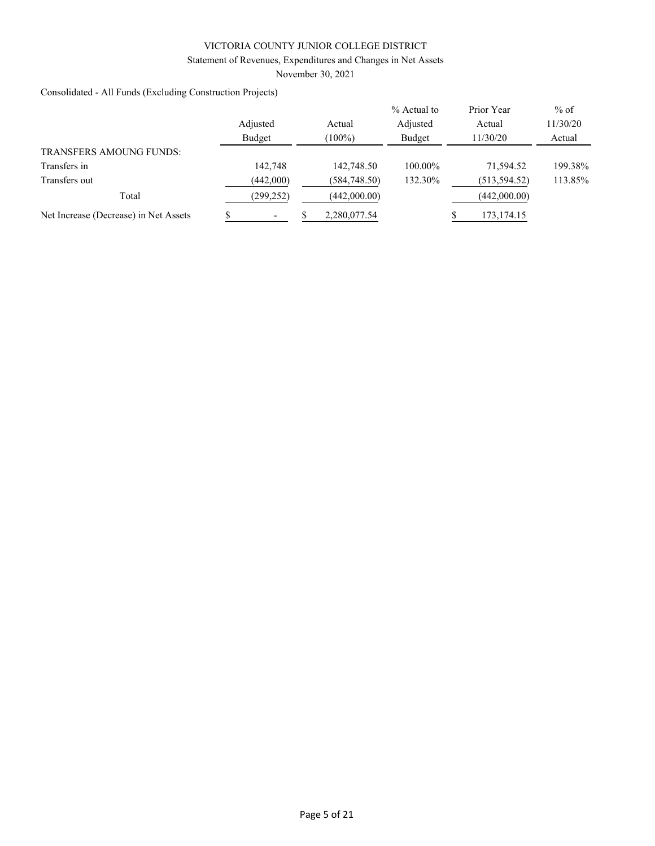### Statement of Revenues, Expenditures and Changes in Net Assets

November 30, 2021

Consolidated - All Funds (Excluding Construction Projects)

|                                       |            |              | % Actual to | Prior Year    | $%$ of   |
|---------------------------------------|------------|--------------|-------------|---------------|----------|
|                                       | Adjusted   | Actual       | Adjusted    | Actual        | 11/30/20 |
|                                       | Budget     | $(100\%)$    | Budget      | 11/30/20      | Actual   |
| <b>TRANSFERS AMOUNG FUNDS:</b>        |            |              |             |               |          |
| Transfers in                          | 142,748    | 142,748.50   | 100.00%     | 71,594.52     | 199.38%  |
| Transfers out                         | (442,000)  | (584,748.50) | 132.30%     | (513, 594.52) | 113.85%  |
| Total                                 | (299, 252) | (442,000.00) |             | (442,000.00)  |          |
| Net Increase (Decrease) in Net Assets |            | 2,280,077.54 |             | 173, 174. 15  |          |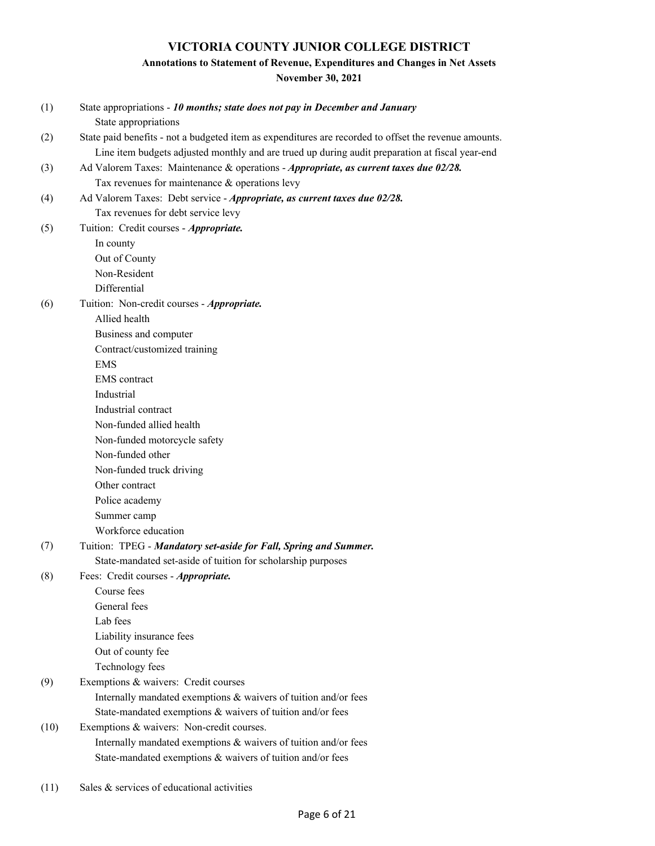# **Annotations to Statement of Revenue, Expenditures and Changes in Net Assets**

**November 30, 2021**

| (1)  | State appropriations - 10 months; state does not pay in December and January                          |
|------|-------------------------------------------------------------------------------------------------------|
|      | State appropriations                                                                                  |
| (2)  | State paid benefits - not a budgeted item as expenditures are recorded to offset the revenue amounts. |
|      | Line item budgets adjusted monthly and are trued up during audit preparation at fiscal year-end       |
| (3)  | Ad Valorem Taxes: Maintenance & operations - Appropriate, as current taxes due 02/28.                 |
|      | Tax revenues for maintenance & operations levy                                                        |
| (4)  | Ad Valorem Taxes: Debt service - Appropriate, as current taxes due 02/28.                             |
|      | Tax revenues for debt service levy                                                                    |
| (5)  | Tuition: Credit courses - Appropriate.                                                                |
|      | In county                                                                                             |
|      | Out of County                                                                                         |
|      | Non-Resident                                                                                          |
|      | Differential                                                                                          |
| (6)  | Tuition: Non-credit courses - Appropriate.                                                            |
|      | Allied health                                                                                         |
|      | Business and computer                                                                                 |
|      | Contract/customized training                                                                          |
|      | <b>EMS</b>                                                                                            |
|      | <b>EMS</b> contract                                                                                   |
|      | Industrial                                                                                            |
|      | Industrial contract                                                                                   |
|      | Non-funded allied health                                                                              |
|      | Non-funded motorcycle safety                                                                          |
|      | Non-funded other                                                                                      |
|      | Non-funded truck driving                                                                              |
|      | Other contract                                                                                        |
|      | Police academy                                                                                        |
|      | Summer camp                                                                                           |
|      | Workforce education                                                                                   |
| (7)  | Tuition: TPEG - Mandatory set-aside for Fall, Spring and Summer.                                      |
|      | State-mandated set-aside of tuition for scholarship purposes                                          |
| (8)  | Fees: Credit courses - Appropriate.                                                                   |
|      | Course fees                                                                                           |
|      | General fees                                                                                          |
|      | Lab fees                                                                                              |
|      | Liability insurance fees                                                                              |
|      | Out of county fee                                                                                     |
|      | Technology fees                                                                                       |
| (9)  | Exemptions & waivers: Credit courses                                                                  |
|      | Internally mandated exemptions & waivers of tuition and/or fees                                       |
|      | State-mandated exemptions & waivers of tuition and/or fees                                            |
| (10) | Exemptions & waivers: Non-credit courses.                                                             |
|      | Internally mandated exemptions & waivers of tuition and/or fees                                       |
|      | State-mandated exemptions & waivers of tuition and/or fees                                            |
|      |                                                                                                       |

(11) Sales & services of educational activities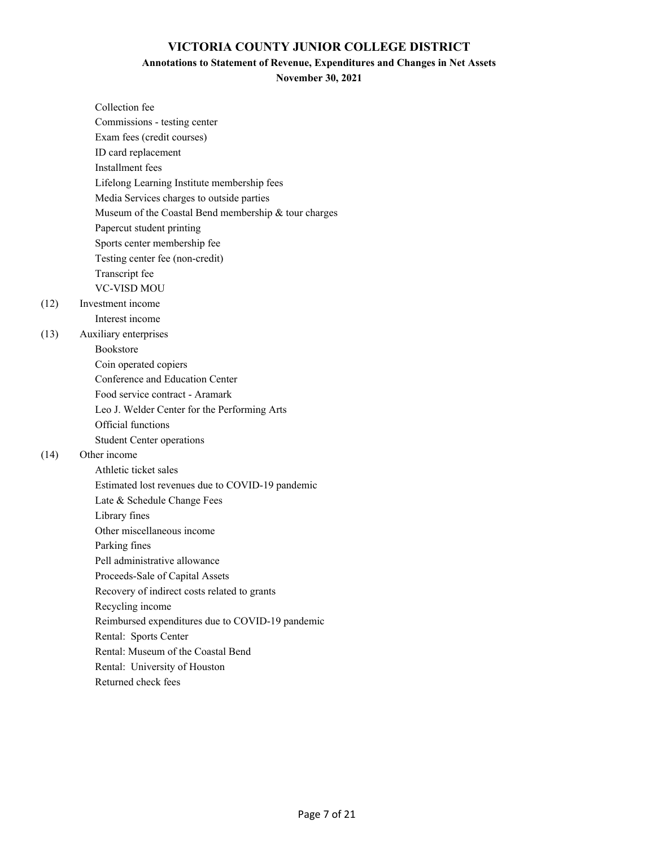### **Annotations to Statement of Revenue, Expenditures and Changes in Net Assets**

**November 30, 2021**

| Collection fee                                       |
|------------------------------------------------------|
| Commissions - testing center                         |
| Exam fees (credit courses)                           |
| ID card replacement                                  |
| Installment fees                                     |
| Lifelong Learning Institute membership fees          |
| Media Services charges to outside parties            |
| Museum of the Coastal Bend membership & tour charges |
| Papercut student printing                            |
| Sports center membership fee                         |
| Testing center fee (non-credit)                      |
| Transcript fee                                       |
| <b>VC-VISD MOU</b>                                   |
| Investment income                                    |
| Interest income                                      |
| Auxiliary enterprises                                |
| <b>Bookstore</b>                                     |
| Coin operated copiers                                |
| Conference and Education Center                      |
| Food service contract - Aramark                      |
| Leo J. Welder Center for the Performing Arts         |
| Official functions                                   |
| <b>Student Center operations</b>                     |
| Other income                                         |
| Athletic ticket sales                                |
| Estimated lost revenues due to COVID-19 pandemic     |
| Late & Schedule Change Fees                          |
| Library fines                                        |
| Other miscellaneous income                           |
| Parking fines                                        |
| Pell administrative allowance                        |
| Proceeds-Sale of Capital Assets                      |
| Recovery of indirect costs related to grants         |
| Recycling income                                     |
| Reimbursed expenditures due to COVID-19 pandemic     |
| Rental: Sports Center                                |
| Rental: Museum of the Coastal Bend                   |
| Rental: University of Houston                        |
| Returned check fees                                  |

 $(12)$ 

(13)

 $(14)$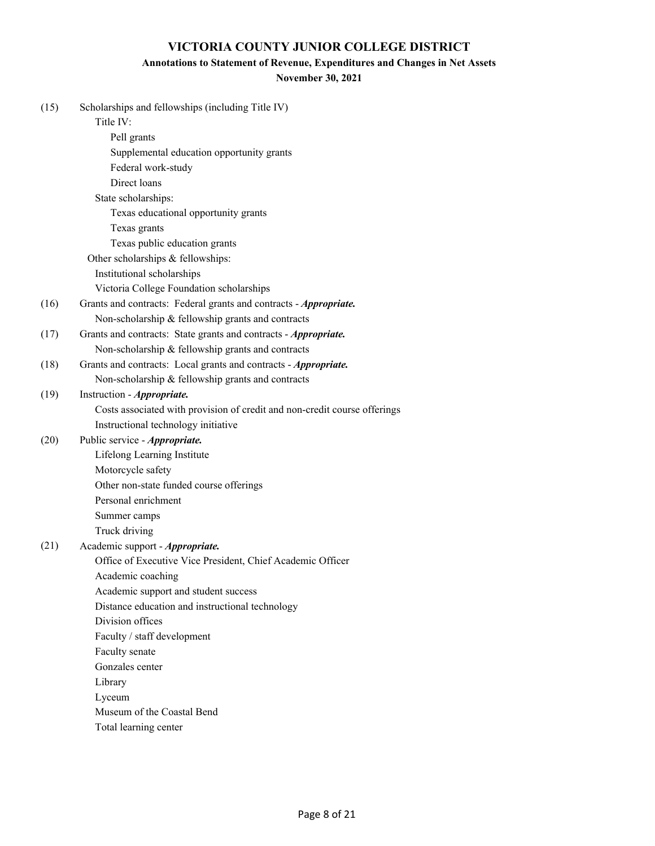### **Annotations to Statement of Revenue, Expenditures and Changes in Net Assets**

### **November 30, 2021**

| (15) | Scholarships and fellowships (including Title IV)                         |
|------|---------------------------------------------------------------------------|
|      | Title IV:                                                                 |
|      | Pell grants                                                               |
|      | Supplemental education opportunity grants                                 |
|      | Federal work-study                                                        |
|      | Direct loans                                                              |
|      | State scholarships:                                                       |
|      | Texas educational opportunity grants                                      |
|      | Texas grants                                                              |
|      | Texas public education grants                                             |
|      | Other scholarships & fellowships:                                         |
|      | Institutional scholarships                                                |
|      | Victoria College Foundation scholarships                                  |
| (16) | Grants and contracts: Federal grants and contracts - Appropriate.         |
|      | Non-scholarship & fellowship grants and contracts                         |
| (17) | Grants and contracts: State grants and contracts - Appropriate.           |
|      | Non-scholarship & fellowship grants and contracts                         |
| (18) | Grants and contracts: Local grants and contracts - Appropriate.           |
|      | Non-scholarship & fellowship grants and contracts                         |
| (19) | Instruction - Appropriate.                                                |
|      | Costs associated with provision of credit and non-credit course offerings |
|      | Instructional technology initiative                                       |
| (20) | Public service - Appropriate.                                             |
|      | Lifelong Learning Institute                                               |
|      | Motorcycle safety                                                         |
|      | Other non-state funded course offerings                                   |
|      | Personal enrichment                                                       |
|      | Summer camps                                                              |
|      | Truck driving                                                             |
| (21) | Academic support - Appropriate.                                           |
|      | Office of Executive Vice President, Chief Academic Officer                |
|      | Academic coaching                                                         |
|      | Academic support and student success                                      |
|      | Distance education and instructional technology                           |
|      | Division offices                                                          |
|      | Faculty / staff development                                               |
|      | Faculty senate                                                            |
|      | Gonzales center                                                           |
|      | Library                                                                   |
|      | Lyceum                                                                    |
|      | Museum of the Coastal Bend                                                |
|      | Total learning center                                                     |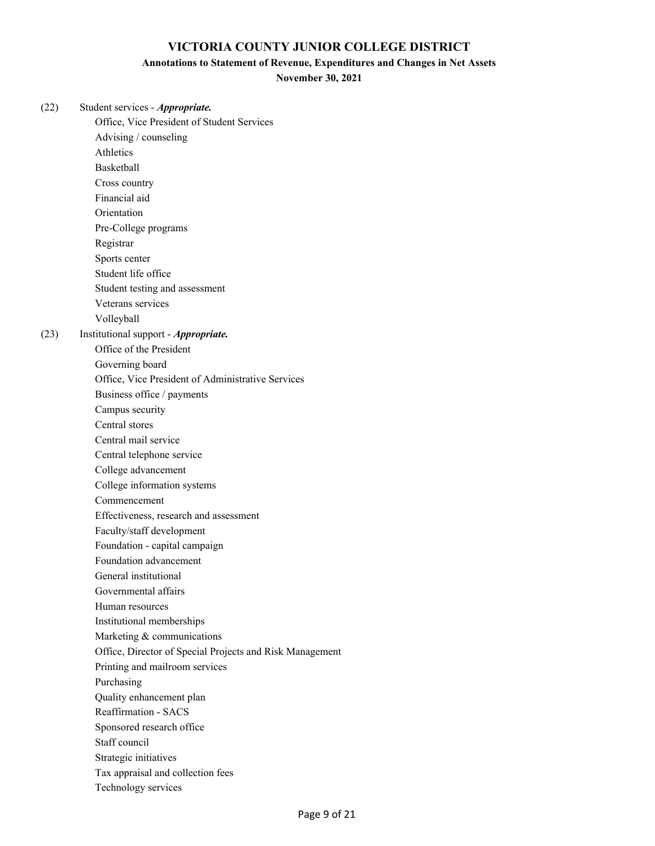### **Annotations to Statement of Revenue, Expenditures and Changes in Net Assets**

**November 30, 2021**

| (22) | Student services - Appropriate.                                      |
|------|----------------------------------------------------------------------|
|      | Office, Vice President of Student Services                           |
|      | Advising / counseling                                                |
|      | Athletics<br><b>Basketball</b>                                       |
|      |                                                                      |
|      | Cross country<br>Financial aid                                       |
|      | Orientation                                                          |
|      |                                                                      |
|      | Pre-College programs                                                 |
|      | Registrar                                                            |
|      | Sports center                                                        |
|      | Student life office                                                  |
|      | Student testing and assessment                                       |
|      | Veterans services                                                    |
|      | Volleyball                                                           |
| (23) | Institutional support - Appropriate.<br>Office of the President      |
|      |                                                                      |
|      | Governing board<br>Office, Vice President of Administrative Services |
|      |                                                                      |
|      | Business office / payments                                           |
|      | Campus security<br>Central stores                                    |
|      |                                                                      |
|      | Central mail service                                                 |
|      | Central telephone service                                            |
|      | College advancement                                                  |
|      | College information systems                                          |
|      | Commencement                                                         |
|      | Effectiveness, research and assessment                               |
|      | Faculty/staff development                                            |
|      | Foundation - capital campaign<br>Foundation advancement              |
|      | General institutional                                                |
|      | Governmental affairs                                                 |
|      | Human resources                                                      |
|      |                                                                      |
|      | Institutional memberships<br>Marketing & communications              |
|      | Office, Director of Special Projects and Risk Management             |
|      | Printing and mailroom services                                       |
|      | Purchasing                                                           |
|      | Quality enhancement plan                                             |
|      | Reaffirmation - SACS                                                 |
|      |                                                                      |
|      | Sponsored research office<br>Staff council                           |
|      | Strategic initiatives                                                |
|      | Tax appraisal and collection fees                                    |
|      | Technology services                                                  |
|      |                                                                      |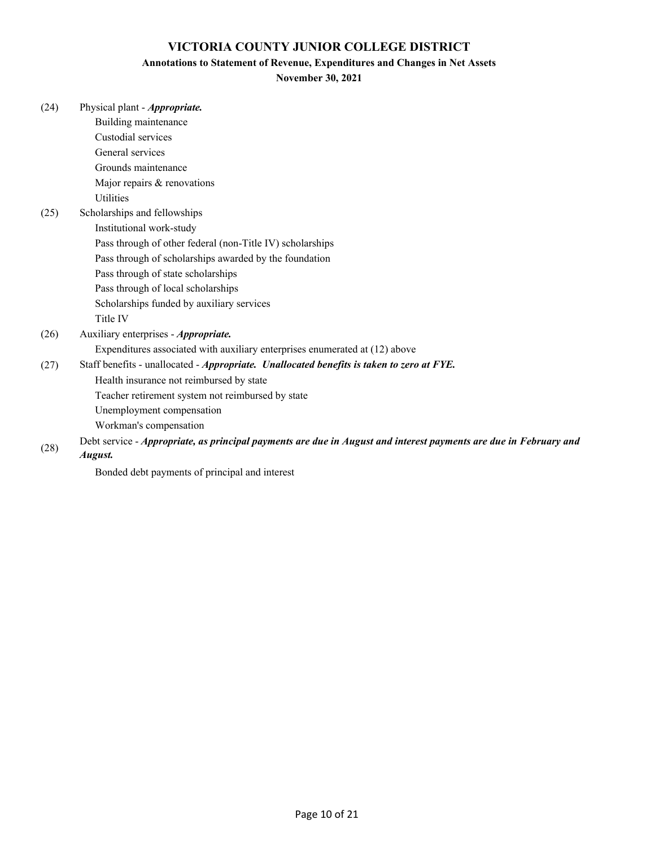#### **Annotations to Statement of Revenue, Expenditures and Changes in Net Assets**

### **November 30, 2021**

| (24) | Physical plant - Appropriate.                                                                                     |
|------|-------------------------------------------------------------------------------------------------------------------|
|      | Building maintenance                                                                                              |
|      | Custodial services                                                                                                |
|      | General services                                                                                                  |
|      | Grounds maintenance                                                                                               |
|      | Major repairs & renovations                                                                                       |
|      | <b>Utilities</b>                                                                                                  |
| (25) | Scholarships and fellowships                                                                                      |
|      | Institutional work-study                                                                                          |
|      | Pass through of other federal (non-Title IV) scholarships                                                         |
|      | Pass through of scholarships awarded by the foundation                                                            |
|      | Pass through of state scholarships                                                                                |
|      | Pass through of local scholarships                                                                                |
|      | Scholarships funded by auxiliary services                                                                         |
|      | Title IV                                                                                                          |
| (26) | Auxiliary enterprises - Appropriate.                                                                              |
|      | Expenditures associated with auxiliary enterprises enumerated at (12) above                                       |
| (27) | Staff benefits - unallocated - Appropriate. Unallocated benefits is taken to zero at FYE.                         |
|      | Health insurance not reimbursed by state                                                                          |
|      | Teacher retirement system not reimbursed by state                                                                 |
|      | Unemployment compensation                                                                                         |
|      | Workman's compensation                                                                                            |
| (28) | Debt service - Appropriate, as principal payments are due in August and interest payments are due in February and |

*August.*

Bonded debt payments of principal and interest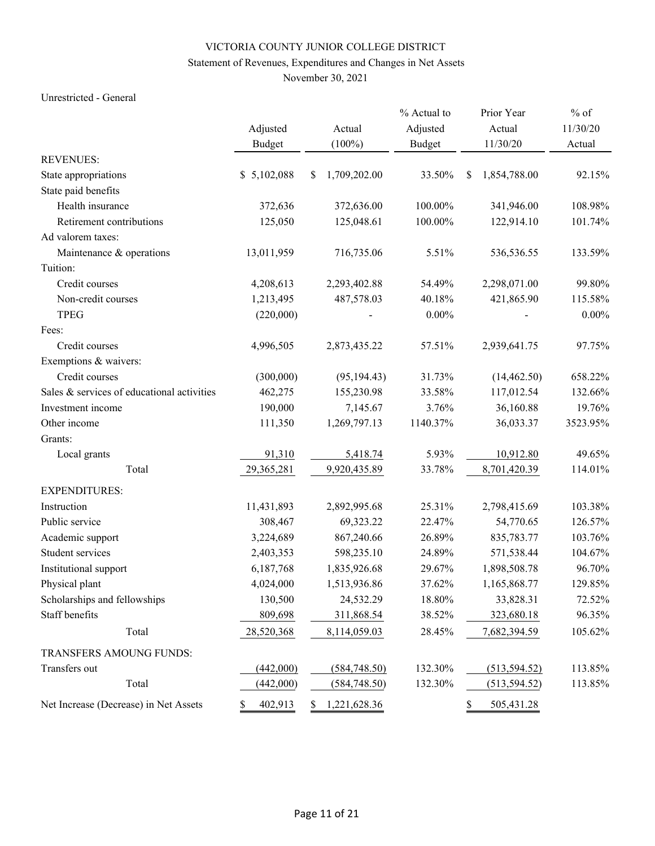# Statement of Revenues, Expenditures and Changes in Net Assets

November 30, 2021

### Unrestricted - General

|                                            |               |    |               | % Actual to   | Prior Year         | $%$ of   |
|--------------------------------------------|---------------|----|---------------|---------------|--------------------|----------|
|                                            | Adjusted      |    | Actual        | Adjusted      | Actual             | 11/30/20 |
|                                            | <b>Budget</b> |    | $(100\%)$     | <b>Budget</b> | 11/30/20           | Actual   |
| <b>REVENUES:</b>                           |               |    |               |               |                    |          |
| State appropriations                       | \$5,102,088   | \$ | 1,709,202.00  | 33.50%        | \$<br>1,854,788.00 | 92.15%   |
| State paid benefits                        |               |    |               |               |                    |          |
| Health insurance                           | 372,636       |    | 372,636.00    | 100.00%       | 341,946.00         | 108.98%  |
| Retirement contributions                   | 125,050       |    | 125,048.61    | 100.00%       | 122,914.10         | 101.74%  |
| Ad valorem taxes:                          |               |    |               |               |                    |          |
| Maintenance & operations                   | 13,011,959    |    | 716,735.06    | 5.51%         | 536,536.55         | 133.59%  |
| Tuition:                                   |               |    |               |               |                    |          |
| Credit courses                             | 4,208,613     |    | 2,293,402.88  | 54.49%        | 2,298,071.00       | 99.80%   |
| Non-credit courses                         | 1,213,495     |    | 487,578.03    | 40.18%        | 421,865.90         | 115.58%  |
| <b>TPEG</b>                                | (220,000)     |    |               | $0.00\%$      |                    | $0.00\%$ |
| Fees:                                      |               |    |               |               |                    |          |
| Credit courses                             | 4,996,505     |    | 2,873,435.22  | 57.51%        | 2,939,641.75       | 97.75%   |
| Exemptions & waivers:                      |               |    |               |               |                    |          |
| Credit courses                             | (300,000)     |    | (95, 194.43)  | 31.73%        | (14, 462.50)       | 658.22%  |
| Sales & services of educational activities | 462,275       |    | 155,230.98    | 33.58%        | 117,012.54         | 132.66%  |
| Investment income                          | 190,000       |    | 7,145.67      | 3.76%         | 36,160.88          | 19.76%   |
| Other income                               | 111,350       |    | 1,269,797.13  | 1140.37%      | 36,033.37          | 3523.95% |
| Grants:                                    |               |    |               |               |                    |          |
| Local grants                               | 91,310        |    | 5,418.74      | 5.93%         | 10,912.80          | 49.65%   |
| Total                                      | 29,365,281    |    | 9,920,435.89  | 33.78%        | 8,701,420.39       | 114.01%  |
| <b>EXPENDITURES:</b>                       |               |    |               |               |                    |          |
| Instruction                                | 11,431,893    |    | 2,892,995.68  | 25.31%        | 2,798,415.69       | 103.38%  |
| Public service                             | 308,467       |    | 69,323.22     | 22.47%        | 54,770.65          | 126.57%  |
| Academic support                           | 3,224,689     |    | 867,240.66    | 26.89%        | 835,783.77         | 103.76%  |
| Student services                           | 2,403,353     |    | 598,235.10    | 24.89%        | 571,538.44         | 104.67%  |
| Institutional support                      | 6,187,768     |    | 1,835,926.68  | 29.67%        | 1,898,508.78       | 96.70%   |
| Physical plant                             | 4,024,000     |    | 1,513,936.86  | 37.62%        | 1,165,868.77       | 129.85%  |
| Scholarships and fellowships               | 130,500       |    | 24,532.29     | 18.80%        | 33,828.31          | 72.52%   |
| Staff benefits                             | 809,698       |    | 311,868.54    | 38.52%        | 323,680.18         | 96.35%   |
| Total                                      | 28,520,368    |    | 8,114,059.03  | 28.45%        | 7,682,394.59       | 105.62%  |
| TRANSFERS AMOUNG FUNDS:                    |               |    |               |               |                    |          |
| Transfers out                              | (442,000)     |    | (584,748.50)  | 132.30%       | (513, 594.52)      | 113.85%  |
| Total                                      | (442,000)     |    | (584, 748.50) | 132.30%       | (513, 594.52)      | 113.85%  |
| Net Increase (Decrease) in Net Assets      | \$<br>402,913 | S  | 1,221,628.36  |               | \$<br>505,431.28   |          |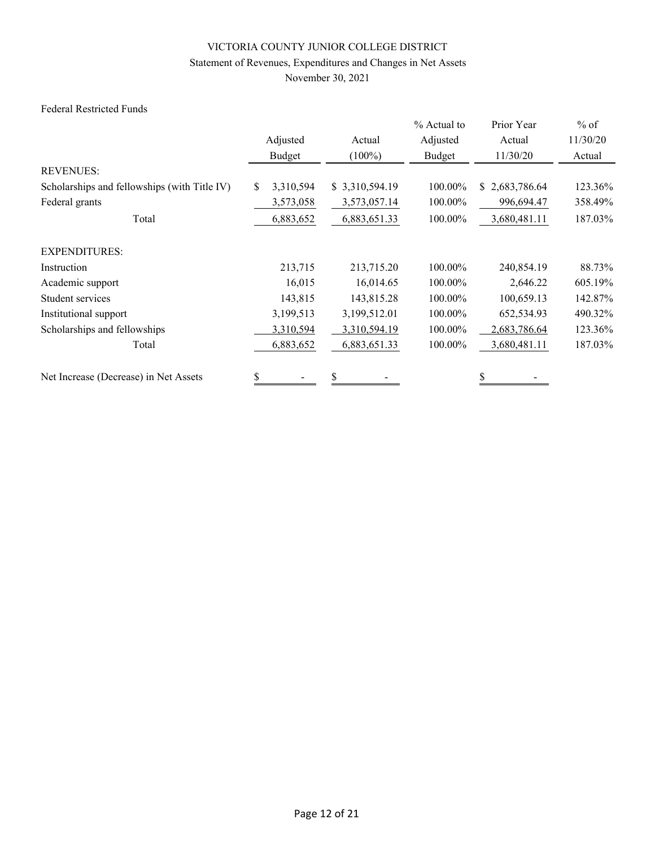# Statement of Revenues, Expenditures and Changes in Net Assets

November 30, 2021

### Federal Restricted Funds

|                                              |                  |                | % Actual to | Prior Year     | $%$ of   |
|----------------------------------------------|------------------|----------------|-------------|----------------|----------|
|                                              | Adjusted         | Actual         | Adjusted    | Actual         | 11/30/20 |
|                                              | Budget           | $(100\%)$      | Budget      | 11/30/20       | Actual   |
| <b>REVENUES:</b>                             |                  |                |             |                |          |
| Scholarships and fellowships (with Title IV) | 3,310,594<br>\$. | \$3,310,594.19 | 100.00%     | \$2,683,786.64 | 123.36%  |
| Federal grants                               | 3,573,058        | 3,573,057.14   | 100.00%     | 996,694.47     | 358.49%  |
| Total                                        | 6,883,652        | 6,883,651.33   | 100.00%     | 3,680,481.11   | 187.03%  |
| <b>EXPENDITURES:</b>                         |                  |                |             |                |          |
| Instruction                                  | 213,715          | 213,715.20     | 100.00%     | 240,854.19     | 88.73%   |
| Academic support                             | 16,015           | 16,014.65      | 100.00%     | 2,646.22       | 605.19%  |
| Student services                             | 143,815          | 143,815.28     | 100.00%     | 100,659.13     | 142.87%  |
| Institutional support                        | 3,199,513        | 3,199,512.01   | 100.00%     | 652,534.93     | 490.32%  |
| Scholarships and fellowships                 | 3,310,594        | 3,310,594.19   | 100.00%     | 2,683,786.64   | 123.36%  |
| Total                                        | 6,883,652        | 6,883,651.33   | 100.00%     | 3,680,481.11   | 187.03%  |
| Net Increase (Decrease) in Net Assets        | \$               | \$             |             |                |          |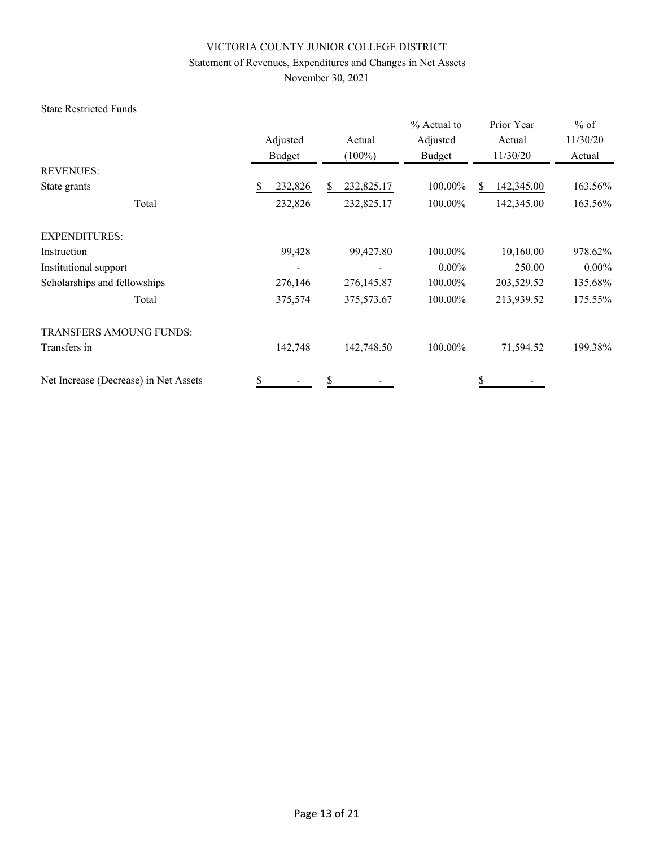# Statement of Revenues, Expenditures and Changes in Net Assets

November 30, 2021

### State Restricted Funds

|                                       |                                |            | % Actual to | Prior Year        | $%$ of   |
|---------------------------------------|--------------------------------|------------|-------------|-------------------|----------|
|                                       | Adjusted                       | Actual     | Adjusted    | Actual            | 11/30/20 |
|                                       | Budget                         | $(100\%)$  | Budget      | 11/30/20          | Actual   |
| <b>REVENUES:</b>                      |                                |            |             |                   |          |
| State grants                          | 232,826<br>\$                  | 232,825.17 | 100.00%     | 142,345.00<br>\$. | 163.56%  |
| Total                                 | 232,826                        | 232,825.17 | 100.00%     | 142,345.00        | 163.56%  |
| <b>EXPENDITURES:</b>                  |                                |            |             |                   |          |
| Instruction                           | 99,428                         | 99,427.80  | 100.00%     | 10,160.00         | 978.62%  |
| Institutional support                 |                                |            | $0.00\%$    | 250.00            | $0.00\%$ |
| Scholarships and fellowships          | 276,146                        | 276,145.87 | 100.00%     | 203,529.52        | 135.68%  |
| Total                                 | 375,574                        | 375,573.67 | 100.00%     | 213,939.52        | 175.55%  |
| <b>TRANSFERS AMOUNG FUNDS:</b>        |                                |            |             |                   |          |
| Transfers in                          | 142,748                        | 142,748.50 | 100.00%     | 71,594.52         | 199.38%  |
| Net Increase (Decrease) in Net Assets | \$<br>$\overline{\phantom{a}}$ | \$         |             | \$                |          |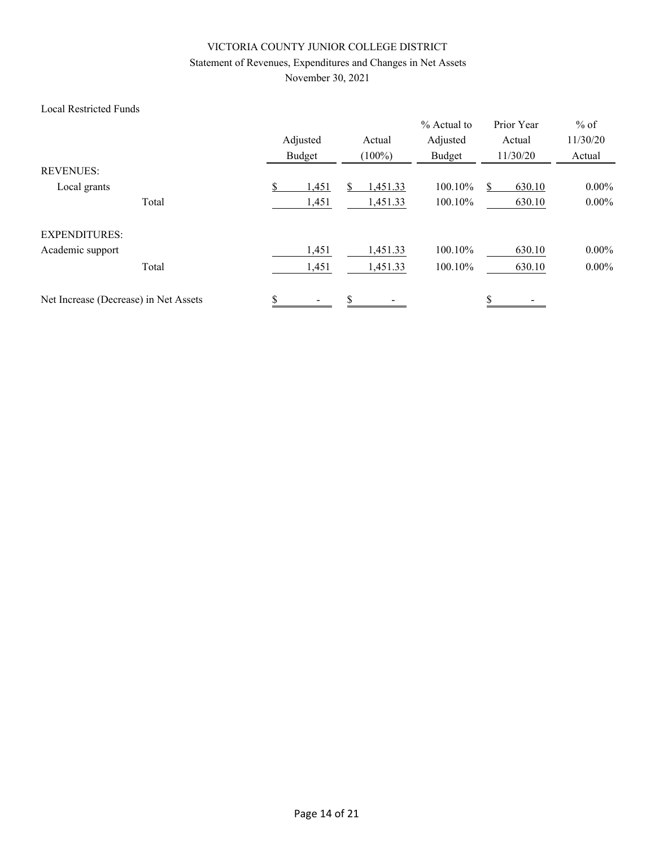# Statement of Revenues, Expenditures and Changes in Net Assets

November 30, 2021

### Local Restricted Funds

|                                       |       | Adjusted<br>Budget |       | Actual<br>$(100\%)$ |          | % Actual to<br>Adjusted<br>Budget | Prior Year<br>Actual<br>11/30/20 | $%$ of<br>11/30/20<br>Actual |
|---------------------------------------|-------|--------------------|-------|---------------------|----------|-----------------------------------|----------------------------------|------------------------------|
| <b>REVENUES:</b>                      |       |                    |       |                     |          |                                   |                                  |                              |
| Local grants                          |       | \$                 | 1,451 |                     | 1,451.33 | 100.10%                           | 630.10                           | $0.00\%$                     |
|                                       | Total |                    | 1,451 |                     | 1,451.33 | 100.10%                           | 630.10                           | $0.00\%$                     |
| <b>EXPENDITURES:</b>                  |       |                    |       |                     |          |                                   |                                  |                              |
| Academic support                      |       |                    | 1,451 |                     | 1,451.33 | 100.10%                           | 630.10                           | $0.00\%$                     |
|                                       | Total |                    | 1,451 |                     | 1,451.33 | 100.10%                           | 630.10                           | $0.00\%$                     |
| Net Increase (Decrease) in Net Assets |       | \$                 |       | \$                  |          |                                   | \$                               |                              |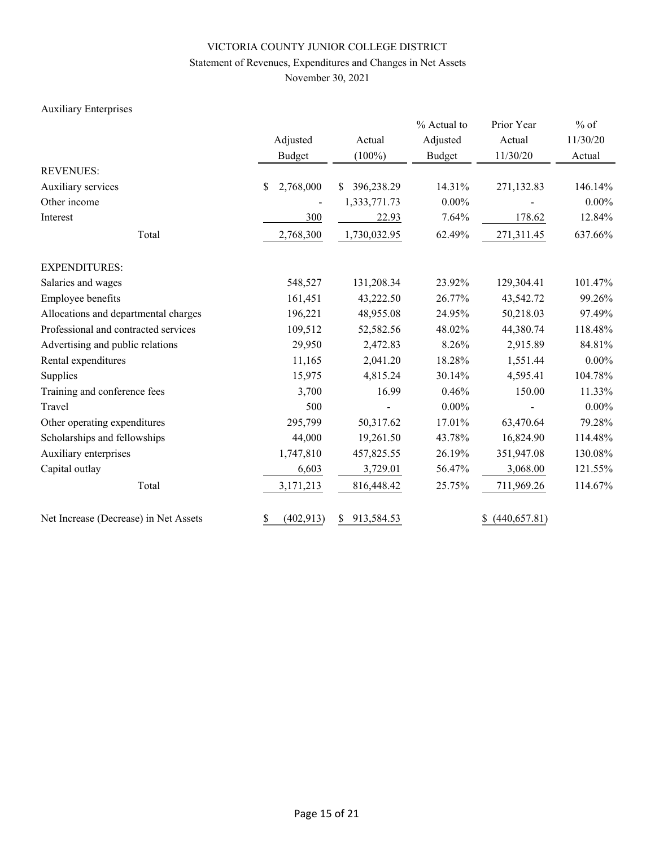# Statement of Revenues, Expenditures and Changes in Net Assets

November 30, 2021

# Auxiliary Enterprises

|                                       | Adjusted         | Actual           | % Actual to<br>Adjusted | Prior Year<br>Actual | $%$ of<br>11/30/20 |  |
|---------------------------------------|------------------|------------------|-------------------------|----------------------|--------------------|--|
|                                       | <b>Budget</b>    | $(100\%)$        | <b>Budget</b>           | 11/30/20             | Actual             |  |
| <b>REVENUES:</b>                      |                  |                  |                         |                      |                    |  |
| Auxiliary services                    | 2,768,000<br>\$  | 396,238.29<br>S. | 14.31%                  | 271,132.83           | 146.14%            |  |
| Other income                          |                  | 1,333,771.73     | $0.00\%$                |                      | $0.00\%$           |  |
| Interest                              | 300              | 22.93            | 7.64%                   | 178.62               | 12.84%             |  |
| Total                                 | 2,768,300        | 1,730,032.95     | 62.49%                  | 271,311.45           | 637.66%            |  |
| <b>EXPENDITURES:</b>                  |                  |                  |                         |                      |                    |  |
| Salaries and wages                    | 548,527          | 131,208.34       | 23.92%                  | 129,304.41           | 101.47%            |  |
| Employee benefits                     | 161,451          | 43,222.50        | 26.77%                  | 43,542.72            | 99.26%             |  |
| Allocations and departmental charges  | 196,221          | 48,955.08        | 24.95%                  | 50,218.03            | 97.49%             |  |
| Professional and contracted services  | 109,512          | 52,582.56        | 48.02%                  | 44,380.74            | 118.48%            |  |
| Advertising and public relations      | 29,950           | 2,472.83         | 8.26%                   | 2,915.89             | 84.81%             |  |
| Rental expenditures                   | 11,165           | 2,041.20         | 18.28%                  | 1,551.44             | $0.00\%$           |  |
| Supplies                              | 15,975           | 4,815.24         | 30.14%                  | 4,595.41             | 104.78%            |  |
| Training and conference fees          | 3,700            | 16.99            | 0.46%                   | 150.00               | 11.33%             |  |
| Travel                                | 500              |                  | $0.00\%$                |                      | $0.00\%$           |  |
| Other operating expenditures          | 295,799          | 50,317.62        | 17.01%                  | 63,470.64            | 79.28%             |  |
| Scholarships and fellowships          | 44,000           | 19,261.50        | 43.78%                  | 16,824.90            | 114.48%            |  |
| Auxiliary enterprises                 | 1,747,810        | 457,825.55       | 26.19%                  | 351,947.08           | 130.08%            |  |
| Capital outlay                        | 6,603            | 3,729.01         | 56.47%                  | 3,068.00             | 121.55%            |  |
| Total                                 | 3,171,213        | 816,448.42       | 25.75%                  | 711,969.26           | 114.67%            |  |
| Net Increase (Decrease) in Net Assets | \$<br>(402, 913) | 913,584.53<br>\$ |                         | (440, 657.81)<br>\$  |                    |  |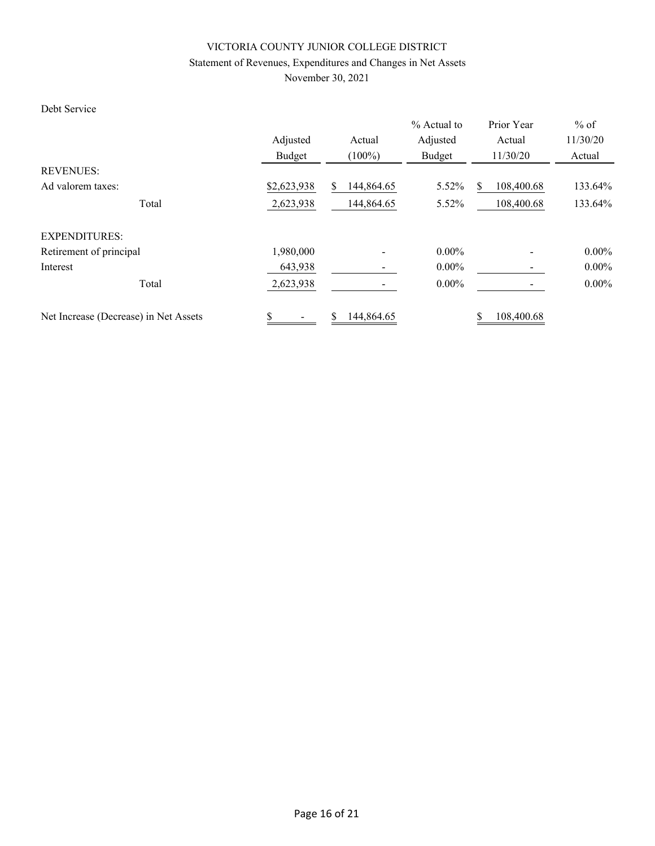# Statement of Revenues, Expenditures and Changes in Net Assets

November 30, 2021

### Debt Service

|                                       | Adjusted    | Actual           | % Actual to<br>Adjusted | Prior Year<br>Actual | $%$ of<br>11/30/20 |
|---------------------------------------|-------------|------------------|-------------------------|----------------------|--------------------|
|                                       | Budget      | $(100\%)$        | Budget                  | 11/30/20             | Actual             |
| <b>REVENUES:</b>                      |             |                  |                         |                      |                    |
| Ad valorem taxes:                     | \$2,623,938 | 144,864.65<br>\$ | 5.52%                   | 108,400.68<br>S.     | 133.64%            |
| Total                                 | 2,623,938   | 144,864.65       | 5.52%                   | 108,400.68           | 133.64%            |
| <b>EXPENDITURES:</b>                  |             |                  |                         |                      |                    |
| Retirement of principal               | 1,980,000   |                  | $0.00\%$                |                      | $0.00\%$           |
| Interest                              | 643,938     | -                | $0.00\%$                |                      | $0.00\%$           |
| Total                                 | 2,623,938   |                  | $0.00\%$                |                      | $0.00\%$           |
| Net Increase (Decrease) in Net Assets | \$<br>-     | \$<br>144,864.65 |                         | 108,400.68<br>\$     |                    |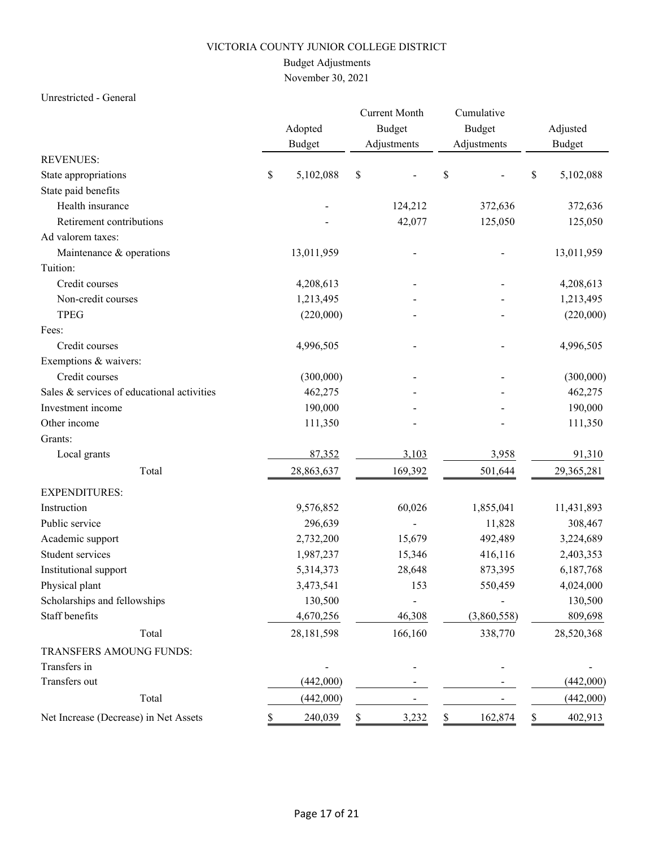# Budget Adjustments

November 30, 2021

### Unrestricted - General

|                                            |    | Adopted<br><b>Budget</b> |    | <b>Current Month</b><br><b>Budget</b><br>Adjustments | Cumulative<br>Budget<br>Adjustments | Adjusted<br><b>Budget</b> |
|--------------------------------------------|----|--------------------------|----|------------------------------------------------------|-------------------------------------|---------------------------|
| <b>REVENUES:</b>                           |    |                          |    |                                                      |                                     |                           |
| State appropriations                       | \$ | 5,102,088                | \$ |                                                      | \$                                  | \$<br>5,102,088           |
| State paid benefits                        |    |                          |    |                                                      |                                     |                           |
| Health insurance                           |    |                          |    | 124,212                                              | 372,636                             | 372,636                   |
| Retirement contributions                   |    |                          |    | 42,077                                               | 125,050                             | 125,050                   |
| Ad valorem taxes:                          |    |                          |    |                                                      |                                     |                           |
| Maintenance & operations                   |    | 13,011,959               |    |                                                      |                                     | 13,011,959                |
| Tuition:                                   |    |                          |    |                                                      |                                     |                           |
| Credit courses                             |    | 4,208,613                |    |                                                      |                                     | 4,208,613                 |
| Non-credit courses                         |    | 1,213,495                |    |                                                      |                                     | 1,213,495                 |
| <b>TPEG</b>                                |    | (220,000)                |    |                                                      |                                     | (220,000)                 |
| Fees:                                      |    |                          |    |                                                      |                                     |                           |
| Credit courses                             |    | 4,996,505                |    |                                                      |                                     | 4,996,505                 |
| Exemptions & waivers:                      |    |                          |    |                                                      |                                     |                           |
| Credit courses                             |    | (300,000)                |    |                                                      |                                     | (300,000)                 |
| Sales & services of educational activities |    | 462,275                  |    |                                                      |                                     | 462,275                   |
| Investment income                          |    | 190,000                  |    |                                                      |                                     | 190,000                   |
| Other income                               |    | 111,350                  |    |                                                      |                                     | 111,350                   |
| Grants:                                    |    |                          |    |                                                      |                                     |                           |
| Local grants                               |    | 87,352                   |    | 3,103                                                | 3,958                               | 91,310                    |
| Total                                      |    | 28,863,637               |    | 169,392                                              | 501,644                             | 29,365,281                |
| <b>EXPENDITURES:</b>                       |    |                          |    |                                                      |                                     |                           |
| Instruction                                |    | 9,576,852                |    | 60,026                                               | 1,855,041                           | 11,431,893                |
| Public service                             |    | 296,639                  |    |                                                      | 11,828                              | 308,467                   |
| Academic support                           |    | 2,732,200                |    | 15,679                                               | 492,489                             | 3,224,689                 |
| Student services                           |    | 1,987,237                |    | 15,346                                               | 416,116                             | 2,403,353                 |
| Institutional support                      |    | 5,314,373                |    | 28,648                                               | 873,395                             | 6,187,768                 |
| Physical plant                             |    | 3,473,541                |    | 153                                                  | 550,459                             | 4,024,000                 |
| Scholarships and fellowships               |    | 130,500                  |    |                                                      |                                     | 130,500                   |
| Staff benefits                             |    | 4,670,256                |    | 46,308                                               | (3,860,558)                         | 809,698                   |
| Total                                      |    | 28,181,598               |    | 166,160                                              | 338,770                             | 28,520,368                |
| TRANSFERS AMOUNG FUNDS:                    |    |                          |    |                                                      |                                     |                           |
| Transfers in                               |    |                          |    |                                                      |                                     |                           |
| Transfers out                              |    | (442,000)                |    |                                                      |                                     | (442,000)                 |
| Total                                      |    | (442,000)                |    |                                                      |                                     | (442,000)                 |
| Net Increase (Decrease) in Net Assets      |    | 240,039                  | \$ | 3,232                                                | \$<br>162,874                       | 402,913                   |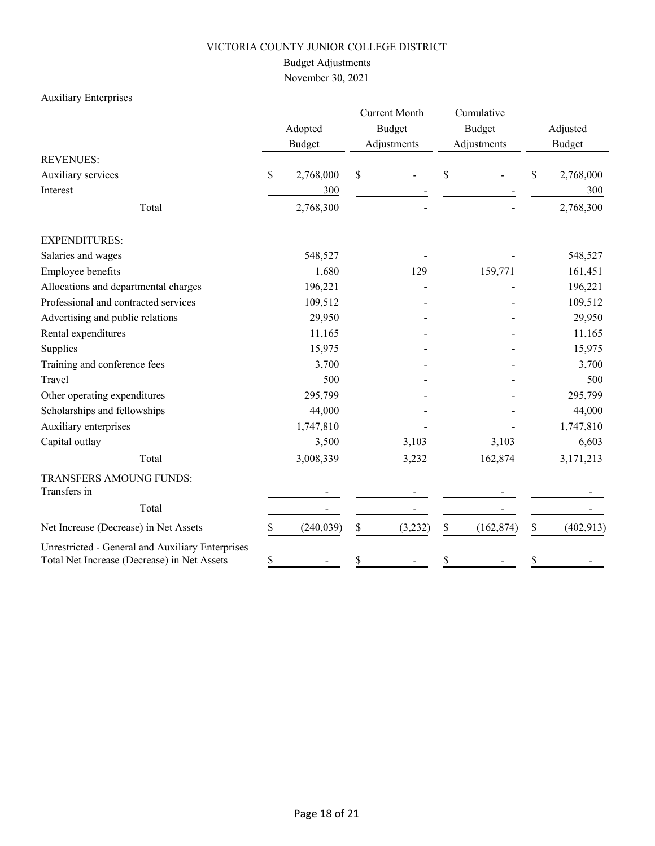# Budget Adjustments

November 30, 2021

# Auxiliary Enterprises

|                                                                                                 |    | Adopted<br><b>Budget</b> |    | <b>Current Month</b><br><b>Budget</b><br>Adjustments |    | Cumulative<br><b>Budget</b><br>Adjustments |    | Adjusted<br><b>Budget</b> |
|-------------------------------------------------------------------------------------------------|----|--------------------------|----|------------------------------------------------------|----|--------------------------------------------|----|---------------------------|
| <b>REVENUES:</b>                                                                                |    |                          |    |                                                      |    |                                            |    |                           |
| Auxiliary services                                                                              | \$ | 2,768,000                | \$ |                                                      | S  |                                            | \$ | 2,768,000                 |
| Interest                                                                                        |    | 300                      |    |                                                      |    |                                            |    | 300                       |
| Total                                                                                           |    | 2,768,300                |    |                                                      |    |                                            |    | 2,768,300                 |
| <b>EXPENDITURES:</b>                                                                            |    |                          |    |                                                      |    |                                            |    |                           |
| Salaries and wages                                                                              |    | 548,527                  |    |                                                      |    |                                            |    | 548,527                   |
| Employee benefits                                                                               |    | 1,680                    |    | 129                                                  |    | 159,771                                    |    | 161,451                   |
| Allocations and departmental charges                                                            |    | 196,221                  |    |                                                      |    |                                            |    | 196,221                   |
| Professional and contracted services                                                            |    | 109,512                  |    |                                                      |    |                                            |    | 109,512                   |
| Advertising and public relations                                                                |    | 29,950                   |    |                                                      |    |                                            |    | 29,950                    |
| Rental expenditures                                                                             |    | 11,165                   |    |                                                      |    |                                            |    | 11,165                    |
| Supplies                                                                                        |    | 15,975                   |    |                                                      |    |                                            |    | 15,975                    |
| Training and conference fees                                                                    |    | 3,700                    |    |                                                      |    |                                            |    | 3,700                     |
| Travel                                                                                          |    | 500                      |    |                                                      |    |                                            |    | 500                       |
| Other operating expenditures                                                                    |    | 295,799                  |    |                                                      |    |                                            |    | 295,799                   |
| Scholarships and fellowships                                                                    |    | 44,000                   |    |                                                      |    |                                            |    | 44,000                    |
| Auxiliary enterprises                                                                           |    | 1,747,810                |    |                                                      |    |                                            |    | 1,747,810                 |
| Capital outlay                                                                                  |    | 3,500                    |    | 3,103                                                |    | 3,103                                      |    | 6,603                     |
| Total                                                                                           |    | 3,008,339                |    | 3,232                                                |    | 162,874                                    |    | 3,171,213                 |
| TRANSFERS AMOUNG FUNDS:                                                                         |    |                          |    |                                                      |    |                                            |    |                           |
| Transfers in                                                                                    |    |                          |    |                                                      |    |                                            |    |                           |
| Total                                                                                           |    |                          |    |                                                      |    |                                            |    |                           |
| Net Increase (Decrease) in Net Assets                                                           | \$ | (240, 039)               | \$ | (3,232)                                              | \$ | (162, 874)                                 | \$ | (402, 913)                |
| Unrestricted - General and Auxiliary Enterprises<br>Total Net Increase (Decrease) in Net Assets | \$ |                          | \$ |                                                      |    |                                            | \$ |                           |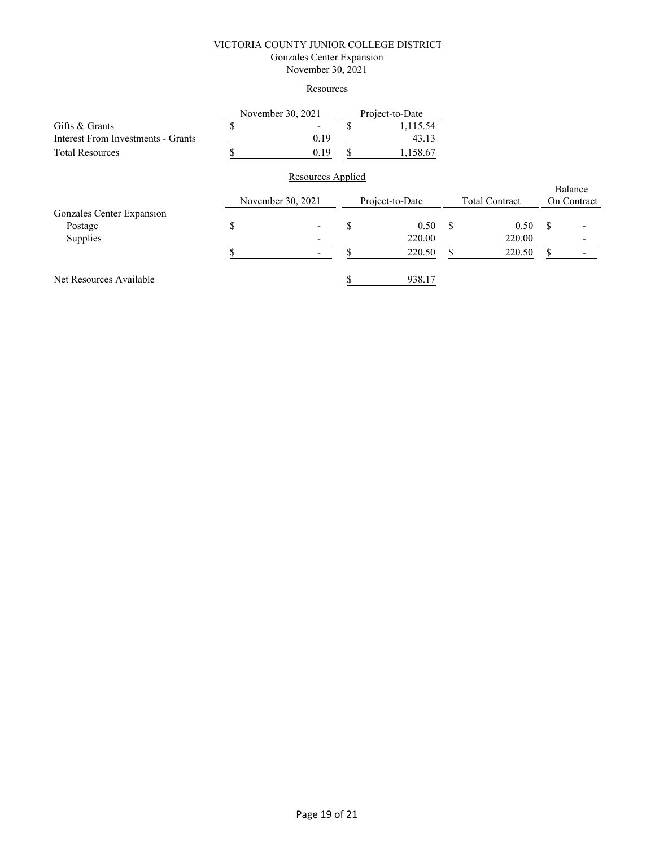### VICTORIA COUNTY JUNIOR COLLEGE DISTRICT Gonzales Center Expansion

November 30, 2021

## **Resources**

|                                           |    | November 30, 2021 |     | Project-to-Date |    |                       |         |             |
|-------------------------------------------|----|-------------------|-----|-----------------|----|-----------------------|---------|-------------|
| Gifts & Grants                            | D  |                   | \$. | 1,115.54        |    |                       |         |             |
| <b>Interest From Investments - Grants</b> |    | 0.19              |     | 43.13           |    |                       |         |             |
| <b>Total Resources</b>                    |    | 0.19              | S   | 1,158.67        |    |                       |         |             |
|                                           |    | Resources Applied |     |                 |    |                       |         |             |
|                                           |    |                   |     |                 |    |                       | Balance |             |
|                                           |    | November 30, 2021 |     | Project-to-Date |    | <b>Total Contract</b> |         | On Contract |
| Gonzales Center Expansion                 |    |                   |     |                 |    |                       |         |             |
| Postage                                   | \$ |                   | \$  | 0.50            | -S | 0.50                  | S       |             |
| Supplies                                  |    |                   |     | 220.00          |    | 220.00                |         |             |
|                                           |    |                   |     | 220.50          | S  | 220.50                | S       |             |
| Net Resources Available                   |    |                   |     | 938.17          |    |                       |         |             |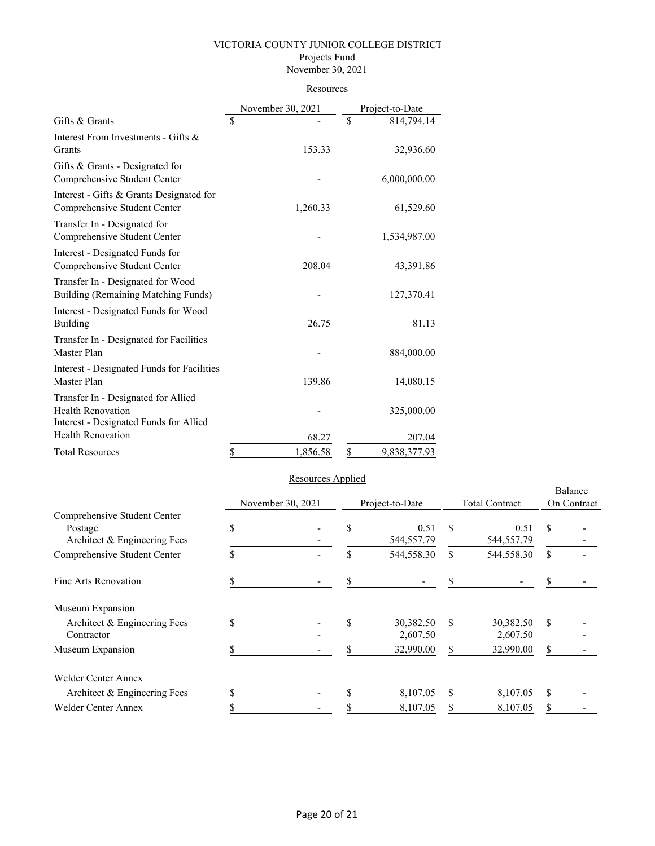### VICTORIA COUNTY JUNIOR COLLEGE DISTRICT Projects Fund

## November 30, 2021

### **Resources**

|                                                                                                           | November 30, 2021 |          |    | Project-to-Date |
|-----------------------------------------------------------------------------------------------------------|-------------------|----------|----|-----------------|
| Gifts & Grants                                                                                            | \$                |          | \$ | 814,794.14      |
| Interest From Investments - Gifts &<br>Grants                                                             |                   | 153.33   |    | 32,936.60       |
| Gifts & Grants - Designated for<br>Comprehensive Student Center                                           |                   |          |    | 6,000,000.00    |
| Interest - Gifts & Grants Designated for<br>Comprehensive Student Center                                  |                   | 1,260.33 |    | 61,529.60       |
| Transfer In - Designated for<br>Comprehensive Student Center                                              |                   |          |    | 1,534,987.00    |
| Interest - Designated Funds for<br>Comprehensive Student Center                                           |                   | 208.04   |    | 43,391.86       |
| Transfer In - Designated for Wood<br>Building (Remaining Matching Funds)                                  |                   |          |    | 127,370.41      |
| Interest - Designated Funds for Wood<br>Building                                                          |                   | 26.75    |    | 81.13           |
| Transfer In - Designated for Facilities<br>Master Plan                                                    |                   |          |    | 884,000.00      |
| Interest - Designated Funds for Facilities<br>Master Plan                                                 |                   | 139.86   |    | 14,080.15       |
| Transfer In - Designated for Allied<br><b>Health Renovation</b><br>Interest - Designated Funds for Allied |                   |          |    | 325,000.00      |
| <b>Health Renovation</b>                                                                                  |                   | 68.27    |    | 207.04          |
| <b>Total Resources</b>                                                                                    | \$                | 1,856.58 | \$ | 9,838,377.93    |

# Resources Applied

|                                                                         |    |                          |    |                       |               |                       |               | Balance     |  |
|-------------------------------------------------------------------------|----|--------------------------|----|-----------------------|---------------|-----------------------|---------------|-------------|--|
|                                                                         |    | November 30, 2021        |    | Project-to-Date       |               | <b>Total Contract</b> |               | On Contract |  |
| Comprehensive Student Center<br>Postage<br>Architect & Engineering Fees | \$ |                          | \$ | 0.51<br>544,557.79    | S             | 0.51<br>544,557.79    | <sup>\$</sup> |             |  |
| Comprehensive Student Center                                            |    |                          | \$ | 544,558.30            | \$            | 544,558.30            | \$            |             |  |
| Fine Arts Renovation                                                    |    | $\overline{\phantom{a}}$ | \$ |                       | \$            |                       | \$            |             |  |
| Museum Expansion                                                        |    |                          |    |                       |               |                       |               |             |  |
| Architect & Engineering Fees<br>Contractor                              | \$ |                          | \$ | 30,382.50<br>2,607.50 | <sup>\$</sup> | 30,382.50<br>2,607.50 | \$            |             |  |
| Museum Expansion                                                        |    |                          | S  | 32,990.00             | \$            | 32,990.00             | S             |             |  |
| <b>Welder Center Annex</b>                                              |    |                          |    |                       |               |                       |               |             |  |
| Architect & Engineering Fees                                            | .ъ |                          |    | 8,107.05              | \$            | 8,107.05              | \$            |             |  |
| <b>Welder Center Annex</b>                                              |    |                          | \$ | 8,107.05              | \$            | 8,107.05              | \$            |             |  |